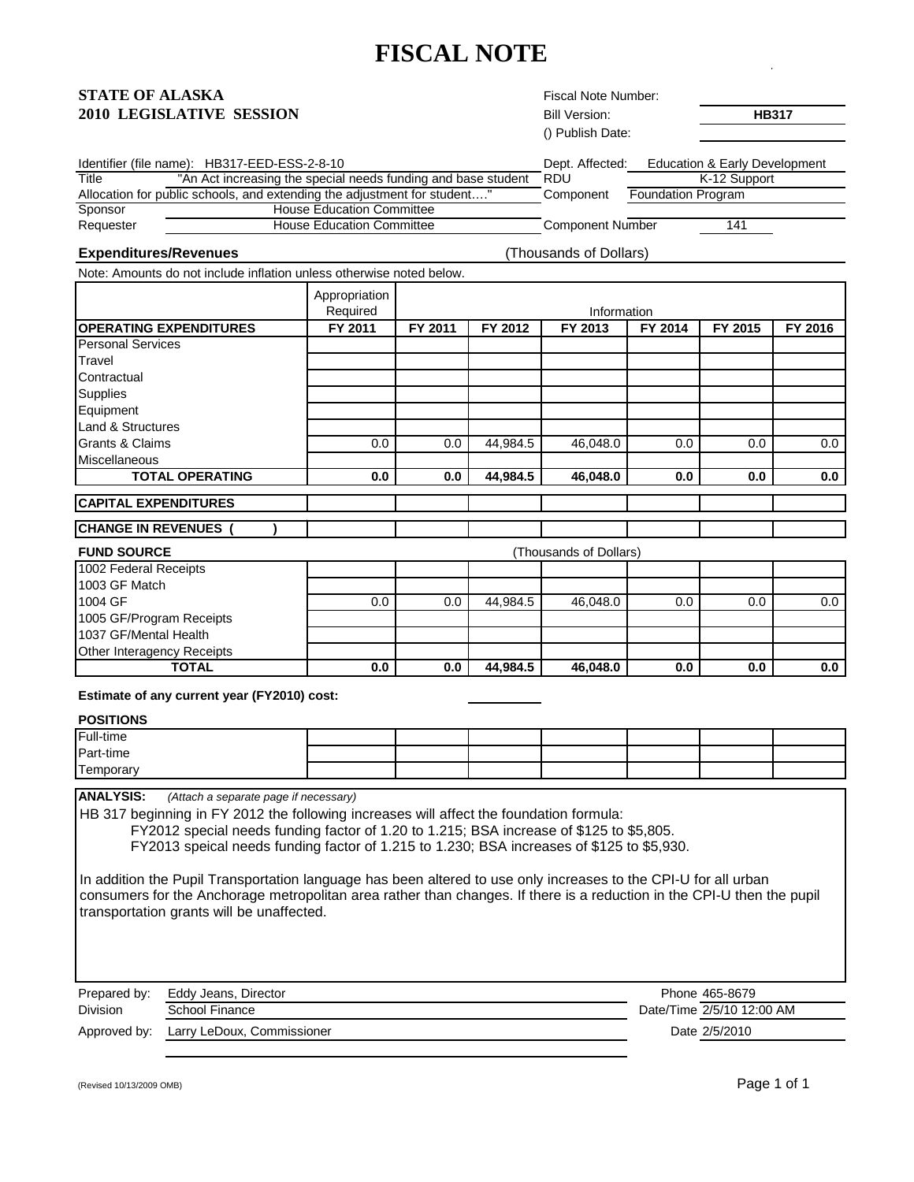## **FISCAL NOTE**

Fiscal Note Number:

## **STATE OF ALASKA**

| <b>2010 LEGISLATIVE SESSION</b>                                          |                                                               |                                                                      |          | <b>Bill Version:</b>   |                           | <b>HB317</b>                  |         |  |
|--------------------------------------------------------------------------|---------------------------------------------------------------|----------------------------------------------------------------------|----------|------------------------|---------------------------|-------------------------------|---------|--|
|                                                                          |                                                               |                                                                      |          | () Publish Date:       |                           |                               |         |  |
| Identifier (file name): HB317-EED-ESS-2-8-10                             |                                                               |                                                                      |          | Dept. Affected:        |                           | Education & Early Development |         |  |
| <b>Title</b>                                                             | "An Act increasing the special needs funding and base student |                                                                      |          | <b>RDU</b>             |                           | K-12 Support                  |         |  |
| Allocation for public schools, and extending the adjustment for student" |                                                               |                                                                      |          | Component              | <b>Foundation Program</b> |                               |         |  |
| Sponsor                                                                  |                                                               | <b>House Education Committee</b><br><b>House Education Committee</b> |          |                        |                           |                               |         |  |
| Requester                                                                |                                                               |                                                                      |          |                        | Component Number<br>141   |                               |         |  |
| <b>Expenditures/Revenues</b>                                             |                                                               |                                                                      |          | (Thousands of Dollars) |                           |                               |         |  |
| Note: Amounts do not include inflation unless otherwise noted below.     |                                                               |                                                                      |          |                        |                           |                               |         |  |
|                                                                          | Appropriation<br>Required                                     | Information                                                          |          |                        |                           |                               |         |  |
| <b>OPERATING EXPENDITURES</b>                                            | FY 2011                                                       | FY 2011                                                              | FY 2012  | FY 2013                | FY 2014                   | FY 2015                       | FY 2016 |  |
| <b>Personal Services</b>                                                 |                                                               |                                                                      |          |                        |                           |                               |         |  |
| Travel                                                                   |                                                               |                                                                      |          |                        |                           |                               |         |  |
| Contractual                                                              |                                                               |                                                                      |          |                        |                           |                               |         |  |
| <b>Supplies</b>                                                          |                                                               |                                                                      |          |                        |                           |                               |         |  |
| Equipment                                                                |                                                               |                                                                      |          |                        |                           |                               |         |  |
| <b>Land &amp; Structures</b>                                             |                                                               |                                                                      |          |                        |                           |                               |         |  |
| Grants & Claims                                                          | 0.0                                                           | 0.0                                                                  | 44,984.5 | 46,048.0               | 0.0                       | 0.0                           | 0.0     |  |
| Miscellaneous                                                            |                                                               |                                                                      |          |                        |                           |                               |         |  |
| <b>TOTAL OPERATING</b>                                                   | 0.0                                                           | 0.0                                                                  | 44.984.5 | 46.048.0               | 0.0                       | 0.0                           | 0.0     |  |
| <b>CAPITAL EXPENDITURES</b>                                              |                                                               |                                                                      |          |                        |                           |                               |         |  |
| <b>CHANGE IN REVENUES</b>                                                |                                                               |                                                                      |          |                        |                           |                               |         |  |
| <b>FUND SOURCE</b>                                                       |                                                               |                                                                      |          | (Thousands of Dollars) |                           |                               |         |  |
| 1002 Federal Receipts                                                    |                                                               |                                                                      |          |                        |                           |                               |         |  |
| 1003 GF Match                                                            |                                                               |                                                                      |          |                        |                           |                               |         |  |
| 1004 GF                                                                  | 0.0                                                           | 0.0                                                                  | 44,984.5 | 46,048.0               | 0.0                       | 0.0                           | $0.0\,$ |  |
| 1005 GF/Program Receipts                                                 |                                                               |                                                                      |          |                        |                           |                               |         |  |
| 1037 GF/Mental Health                                                    |                                                               |                                                                      |          |                        |                           |                               |         |  |
| Other Interagency Receipts                                               |                                                               |                                                                      |          |                        |                           |                               |         |  |
| <b>TOTAL</b>                                                             | 0.0                                                           | 0.0                                                                  | 44.984.5 | 46.048.0               | 0.0                       | 0.0                           | 0.0     |  |

**Estimate of any current year (FY2010) cost:** 

## **POSITIONS**

| Full-time |  |  |  |  |
|-----------|--|--|--|--|
| Part-time |  |  |  |  |
| Temporary |  |  |  |  |

**ANALYSIS:** *(Attach a separate page if necessary)*

HB 317 beginning in FY 2012 the following increases will affect the foundation formula:

FY2012 special needs funding factor of 1.20 to 1.215; BSA increase of \$125 to \$5,805.

FY2013 speical needs funding factor of 1.215 to 1.230; BSA increases of \$125 to \$5,930.

In addition the Pupil Transportation language has been altered to use only increases to the CPI-U for all urban consumers for the Anchorage metropolitan area rather than changes. If there is a reduction in the CPI-U then the pupil transportation grants will be unaffected.

| Prepared by:    | Eddy Jeans, Director       | Phone 465-8679            |
|-----------------|----------------------------|---------------------------|
| <b>Division</b> | School Finance             | Date/Time 2/5/10 12:00 AM |
| Approved by:    | Larry LeDoux, Commissioner | Date 2/5/2010             |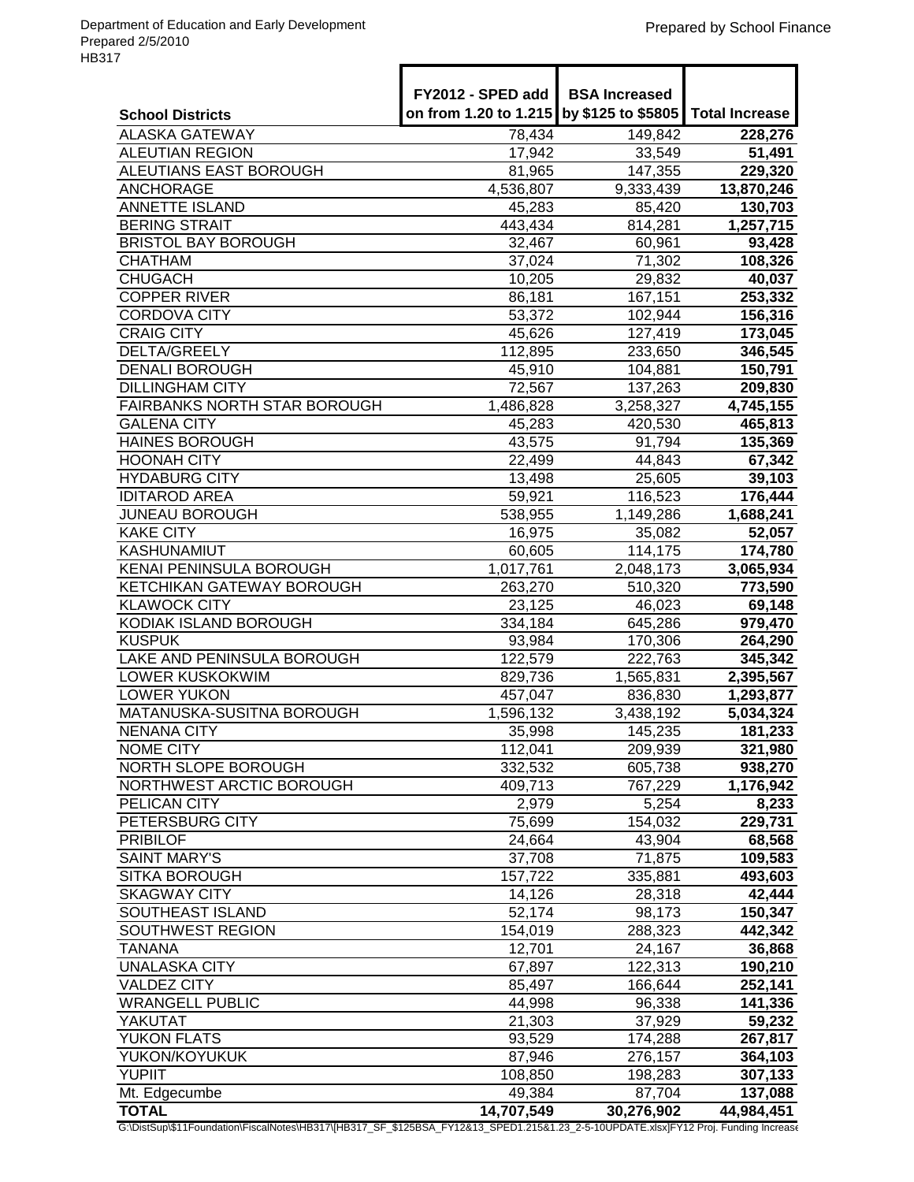|                                            | FY2012 - SPED add<br>on from 1.20 to 1.215 | <b>BSA Increased</b><br>by \$125 to \$5805 | <b>Total Increase</b> |
|--------------------------------------------|--------------------------------------------|--------------------------------------------|-----------------------|
| <b>School Districts</b>                    |                                            |                                            |                       |
| <b>ALASKA GATEWAY</b>                      | 78,434                                     | 149,842                                    | 228,276               |
| <b>ALEUTIAN REGION</b>                     | 17,942                                     | 33,549                                     | 51,491                |
| ALEUTIANS EAST BOROUGH<br><b>ANCHORAGE</b> | 81,965<br>4,536,807                        | 147,355<br>9,333,439                       | 229,320<br>13,870,246 |
| <b>ANNETTE ISLAND</b>                      | 45,283                                     | 85,420                                     | 130,703               |
| <b>BERING STRAIT</b>                       | 443,434                                    | 814,281                                    | 1,257,715             |
| <b>BRISTOL BAY BOROUGH</b>                 | 32,467                                     | 60,961                                     | 93,428                |
| <b>CHATHAM</b>                             | 37,024                                     | 71,302                                     | 108,326               |
| <b>CHUGACH</b>                             | 10,205                                     | 29,832                                     | 40,037                |
| <b>COPPER RIVER</b>                        | 86,181                                     | 167,151                                    | 253,332               |
| <b>CORDOVA CITY</b>                        | 53,372                                     | 102,944                                    | 156,316               |
| <b>CRAIG CITY</b>                          | 45,626                                     | 127,419                                    | 173,045               |
| DELTA/GREELY                               | 112,895                                    | 233,650                                    | 346,545               |
| <b>DENALI BOROUGH</b>                      | 45,910                                     | 104,881                                    | 150,791               |
| <b>DILLINGHAM CITY</b>                     | 72,567                                     | 137,263                                    | 209,830               |
| FAIRBANKS NORTH STAR BOROUGH               | 1,486,828                                  | 3,258,327                                  | 4,745,155             |
| <b>GALENA CITY</b>                         | 45,283                                     | 420,530                                    | 465,813               |
| <b>HAINES BOROUGH</b>                      | 43,575                                     | 91,794                                     | 135,369               |
| <b>HOONAH CITY</b>                         | 22,499                                     | 44,843                                     | 67,342                |
| <b>HYDABURG CITY</b>                       | 13,498                                     | 25,605                                     | 39,103                |
| <b>IDITAROD AREA</b>                       | 59,921                                     | 116,523                                    | 176,444               |
| <b>JUNEAU BOROUGH</b>                      | 538,955                                    | 1,149,286                                  | 1,688,241             |
| <b>KAKE CITY</b>                           | 16,975                                     | 35,082                                     | 52,057                |
| <b>KASHUNAMIUT</b>                         | 60,605                                     | 114,175                                    | 174,780               |
| KENAI PENINSULA BOROUGH                    | 1,017,761                                  | 2,048,173                                  | 3,065,934             |
| <b>KETCHIKAN GATEWAY BOROUGH</b>           | 263,270                                    | 510,320                                    | 773,590               |
| <b>KLAWOCK CITY</b>                        | 23,125                                     | 46,023                                     | 69,148                |
| KODIAK ISLAND BOROUGH                      | 334,184                                    | 645,286                                    | 979,470               |
| <b>KUSPUK</b>                              | 93,984                                     | 170,306                                    | 264,290               |
| <b>LAKE AND PENINSULA BOROUGH</b>          | 122,579                                    | 222,763                                    | 345,342               |
| LOWER KUSKOKWIM                            | 829,736                                    | 1,565,831                                  | 2,395,567             |
| <b>LOWER YUKON</b>                         | 457,047                                    | 836,830                                    | 1,293,877             |
| MATANUSKA-SUSITNA BOROUGH                  | 1,596,132                                  | 3,438,192                                  | 5,034,324             |
| <b>NENANA CITY</b>                         | 35,998                                     | 145,235                                    | 181,233               |
| <b>NOME CITY</b>                           | 112,041                                    | 209,939                                    | 321,980               |
| <b>NORTH SLOPE BOROUGH</b>                 | 332,532                                    | 605,738                                    | 938,270               |
| NORTHWEST ARCTIC BOROUGH                   | 409,713                                    | 767,229                                    | 1,176,942             |
| PELICAN CITY                               | 2,979                                      | 5,254                                      | 8,233                 |
| PETERSBURG CITY                            | 75,699                                     | 154,032                                    | 229,731               |
| <b>PRIBILOF</b>                            | 24,664                                     | 43,904                                     | 68,568                |
| <b>SAINT MARY'S</b>                        | 37,708                                     | 71,875                                     | 109,583               |
| <b>SITKA BOROUGH</b>                       | 157,722                                    | 335,881                                    | 493,603               |
| <b>SKAGWAY CITY</b>                        | 14,126                                     | 28,318                                     | 42,444                |
| SOUTHEAST ISLAND                           | 52,174                                     | 98,173                                     | 150,347               |
| <b>SOUTHWEST REGION</b>                    | 154,019                                    | 288,323                                    | 442,342               |
| <b>TANANA</b>                              | 12,701                                     | 24,167                                     | 36,868                |
| <b>UNALASKA CITY</b>                       | 67,897                                     | 122,313                                    | 190,210               |
| <b>VALDEZ CITY</b>                         | 85,497                                     | 166,644                                    | 252,141               |
| <b>WRANGELL PUBLIC</b>                     | 44,998                                     | 96,338                                     | 141,336               |
| YAKUTAT                                    | 21,303                                     | 37,929                                     | 59,232                |
| YUKON FLATS                                | 93,529                                     | 174,288                                    | 267,817               |
| YUKON/KOYUKUK                              | 87,946                                     | 276,157                                    | 364,103               |
| <b>YUPIIT</b>                              | 108,850                                    | 198,283                                    | 307,133               |
| Mt. Edgecumbe<br><b>TOTAL</b>              | 49,384                                     | 87,704                                     | 137,088               |
|                                            | 14,707,549                                 | 30,276,902                                 | 44,984,451            |

G:\DistSup\\$11Foundation\FiscalNotes\HB317\[HB317\_SF\_\$125BSA\_FY12&13\_SPED1.215&1.23\_2-5-10UPDATE.xlsx]FY12 Proj. Funding Increase